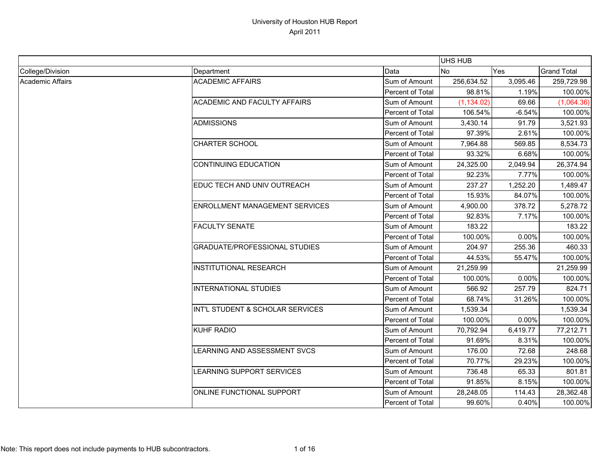|                         |                                       |                  | <b>UHS HUB</b> |            |                    |
|-------------------------|---------------------------------------|------------------|----------------|------------|--------------------|
| College/Division        | Department                            | Data             | <b>INo</b>     | <b>Yes</b> | <b>Grand Total</b> |
| <b>Academic Affairs</b> | <b>ACADEMIC AFFAIRS</b>               | Sum of Amount    | 256,634.52     | 3,095.46   | 259,729.98         |
|                         |                                       | Percent of Total | 98.81%         | 1.19%      | 100.00%            |
|                         | <b>ACADEMIC AND FACULTY AFFAIRS</b>   | Sum of Amount    | (1, 134.02)    | 69.66      | (1,064.36)         |
|                         |                                       | Percent of Total | 106.54%        | $-6.54%$   | 100.00%            |
|                         | <b>ADMISSIONS</b>                     | Sum of Amount    | 3,430.14       | 91.79      | 3,521.93           |
|                         |                                       | Percent of Total | 97.39%         | 2.61%      | 100.00%            |
|                         | <b>CHARTER SCHOOL</b>                 | Sum of Amount    | 7,964.88       | 569.85     | 8,534.73           |
|                         |                                       | Percent of Total | 93.32%         | 6.68%      | 100.00%            |
|                         | <b>CONTINUING EDUCATION</b>           | Sum of Amount    | 24,325.00      | 2,049.94   | 26,374.94          |
|                         |                                       | Percent of Total | 92.23%         | 7.77%      | 100.00%            |
|                         | EDUC TECH AND UNIV OUTREACH           | Sum of Amount    | 237.27         | 1,252.20   | 1,489.47           |
|                         |                                       | Percent of Total | 15.93%         | 84.07%     | 100.00%            |
|                         | <b>ENROLLMENT MANAGEMENT SERVICES</b> | Sum of Amount    | 4,900.00       | 378.72     | 5,278.72           |
|                         |                                       | Percent of Total | 92.83%         | 7.17%      | 100.00%            |
|                         | <b>FACULTY SENATE</b>                 | Sum of Amount    | 183.22         |            | 183.22             |
|                         |                                       | Percent of Total | 100.00%        | 0.00%      | 100.00%            |
|                         | <b>GRADUATE/PROFESSIONAL STUDIES</b>  | Sum of Amount    | 204.97         | 255.36     | 460.33             |
|                         |                                       | Percent of Total | 44.53%         | 55.47%     | 100.00%            |
|                         | <b>INSTITUTIONAL RESEARCH</b>         | Sum of Amount    | 21,259.99      |            | 21,259.99          |
|                         |                                       | Percent of Total | 100.00%        | 0.00%      | 100.00%            |
|                         | <b>INTERNATIONAL STUDIES</b>          | Sum of Amount    | 566.92         | 257.79     | 824.71             |
|                         |                                       | Percent of Total | 68.74%         | 31.26%     | 100.00%            |
|                         | INT'L STUDENT & SCHOLAR SERVICES      | Sum of Amount    | 1,539.34       |            | 1,539.34           |
|                         |                                       | Percent of Total | 100.00%        | 0.00%      | 100.00%            |
|                         | <b>KUHF RADIO</b>                     | Sum of Amount    | 70,792.94      | 6,419.77   | 77,212.71          |
|                         |                                       | Percent of Total | 91.69%         | 8.31%      | 100.00%            |
|                         | LEARNING AND ASSESSMENT SVCS          | Sum of Amount    | 176.00         | 72.68      | 248.68             |
|                         |                                       | Percent of Total | 70.77%         | 29.23%     | 100.00%            |
|                         | LEARNING SUPPORT SERVICES             | Sum of Amount    | 736.48         | 65.33      | 801.81             |
|                         |                                       | Percent of Total | 91.85%         | 8.15%      | 100.00%            |
|                         | ONLINE FUNCTIONAL SUPPORT             | Sum of Amount    | 28,248.05      | 114.43     | 28,362.48          |
|                         |                                       | Percent of Total | 99.60%         | 0.40%      | 100.00%            |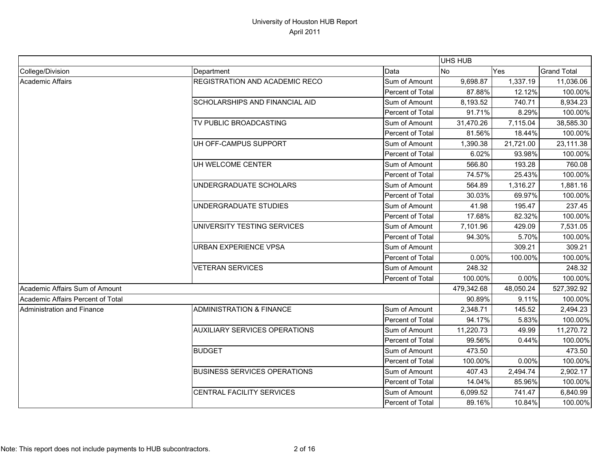|                                   |                                      |                  | <b>UHS HUB</b> |           |                    |
|-----------------------------------|--------------------------------------|------------------|----------------|-----------|--------------------|
| College/Division                  | Department                           | Data             | No             | Yes       | <b>Grand Total</b> |
| <b>Academic Affairs</b>           | REGISTRATION AND ACADEMIC RECO       | Sum of Amount    | 9,698.87       | 1,337.19  | 11,036.06          |
|                                   |                                      | Percent of Total | 87.88%         | 12.12%    | 100.00%            |
|                                   | SCHOLARSHIPS AND FINANCIAL AID       | Sum of Amount    | 8,193.52       | 740.71    | 8,934.23           |
|                                   |                                      | Percent of Total | 91.71%         | 8.29%     | 100.00%            |
|                                   | TV PUBLIC BROADCASTING               | Sum of Amount    | 31,470.26      | 7,115.04  | 38,585.30          |
|                                   |                                      | Percent of Total | 81.56%         | 18.44%    | 100.00%            |
|                                   | UH OFF-CAMPUS SUPPORT                | Sum of Amount    | 1,390.38       | 21,721.00 | 23,111.38          |
|                                   |                                      | Percent of Total | 6.02%          | 93.98%    | 100.00%            |
|                                   | UH WELCOME CENTER                    | Sum of Amount    | 566.80         | 193.28    | 760.08             |
|                                   |                                      | Percent of Total | 74.57%         | 25.43%    | 100.00%            |
|                                   | UNDERGRADUATE SCHOLARS               | Sum of Amount    | 564.89         | 1,316.27  | 1,881.16           |
|                                   |                                      | Percent of Total | 30.03%         | 69.97%    | 100.00%            |
|                                   | UNDERGRADUATE STUDIES                | Sum of Amount    | 41.98          | 195.47    | 237.45             |
|                                   |                                      | Percent of Total | 17.68%         | 82.32%    | 100.00%            |
|                                   | UNIVERSITY TESTING SERVICES          | Sum of Amount    | 7,101.96       | 429.09    | 7,531.05           |
|                                   |                                      | Percent of Total | 94.30%         | 5.70%     | 100.00%            |
|                                   | <b>URBAN EXPERIENCE VPSA</b>         | Sum of Amount    |                | 309.21    | 309.21             |
|                                   |                                      | Percent of Total | 0.00%          | 100.00%   | 100.00%            |
|                                   | <b>VETERAN SERVICES</b>              | Sum of Amount    | 248.32         |           | 248.32             |
|                                   |                                      | Percent of Total | 100.00%        | 0.00%     | 100.00%            |
| Academic Affairs Sum of Amount    |                                      |                  | 479,342.68     | 48,050.24 | 527,392.92         |
| Academic Affairs Percent of Total |                                      |                  | 90.89%         | 9.11%     | 100.00%            |
| Administration and Finance        | <b>ADMINISTRATION &amp; FINANCE</b>  | Sum of Amount    | 2,348.71       | 145.52    | 2,494.23           |
|                                   |                                      | Percent of Total | 94.17%         | 5.83%     | 100.00%            |
|                                   | <b>AUXILIARY SERVICES OPERATIONS</b> | Sum of Amount    | 11,220.73      | 49.99     | 11,270.72          |
|                                   |                                      | Percent of Total | 99.56%         | 0.44%     | 100.00%            |
|                                   | <b>BUDGET</b>                        | Sum of Amount    | 473.50         |           | 473.50             |
|                                   |                                      | Percent of Total | 100.00%        | 0.00%     | 100.00%            |
|                                   | <b>BUSINESS SERVICES OPERATIONS</b>  | Sum of Amount    | 407.43         | 2,494.74  | 2,902.17           |
|                                   |                                      | Percent of Total | 14.04%         | 85.96%    | 100.00%            |
|                                   | CENTRAL FACILITY SERVICES            | Sum of Amount    | 6,099.52       | 741.47    | 6,840.99           |
|                                   |                                      | Percent of Total | 89.16%         | 10.84%    | 100.00%            |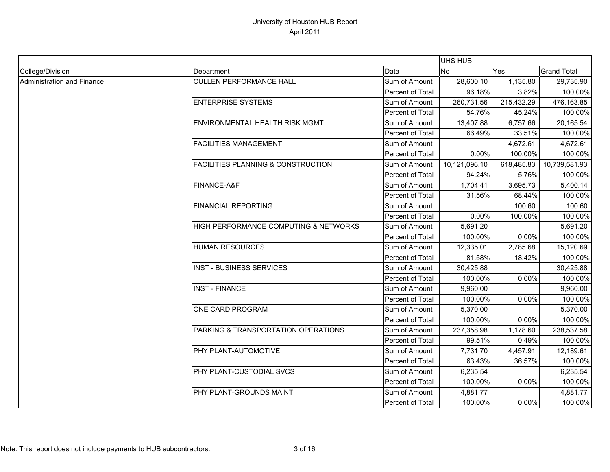|                            |                                               |                         | <b>UHS HUB</b> |            |                    |
|----------------------------|-----------------------------------------------|-------------------------|----------------|------------|--------------------|
| College/Division           | Department                                    | Data                    | <b>No</b>      | Yes        | <b>Grand Total</b> |
| Administration and Finance | <b>CULLEN PERFORMANCE HALL</b>                | Sum of Amount           | 28,600.10      | 1,135.80   | 29,735.90          |
|                            |                                               | <b>Percent of Total</b> | 96.18%         | 3.82%      | 100.00%            |
|                            | <b>ENTERPRISE SYSTEMS</b>                     | Sum of Amount           | 260,731.56     | 215,432.29 | 476,163.85         |
|                            |                                               | Percent of Total        | 54.76%         | 45.24%     | 100.00%            |
|                            | ENVIRONMENTAL HEALTH RISK MGMT                | Sum of Amount           | 13,407.88      | 6,757.66   | 20,165.54          |
|                            |                                               | Percent of Total        | 66.49%         | 33.51%     | 100.00%            |
|                            | <b>FACILITIES MANAGEMENT</b>                  | Sum of Amount           |                | 4,672.61   | 4,672.61           |
|                            |                                               | Percent of Total        | 0.00%          | 100.00%    | 100.00%            |
|                            | <b>FACILITIES PLANNING &amp; CONSTRUCTION</b> | Sum of Amount           | 10,121,096.10  | 618,485.83 | 10,739,581.93      |
|                            |                                               | Percent of Total        | 94.24%         | 5.76%      | 100.00%            |
|                            | FINANCE-A&F                                   | Sum of Amount           | 1,704.41       | 3,695.73   | 5,400.14           |
|                            |                                               | Percent of Total        | 31.56%         | 68.44%     | 100.00%            |
|                            | <b>FINANCIAL REPORTING</b>                    | Sum of Amount           |                | 100.60     | 100.60             |
|                            |                                               | Percent of Total        | 0.00%          | 100.00%    | 100.00%            |
|                            | HIGH PERFORMANCE COMPUTING & NETWORKS         | Sum of Amount           | 5,691.20       |            | 5,691.20           |
|                            |                                               | Percent of Total        | 100.00%        | 0.00%      | 100.00%            |
|                            | <b>HUMAN RESOURCES</b>                        | Sum of Amount           | 12,335.01      | 2,785.68   | 15,120.69          |
|                            |                                               | Percent of Total        | 81.58%         | 18.42%     | 100.00%            |
|                            | <b>INST - BUSINESS SERVICES</b>               | Sum of Amount           | 30,425.88      |            | 30,425.88          |
|                            |                                               | Percent of Total        | 100.00%        | 0.00%      | 100.00%            |
|                            | <b>INST - FINANCE</b>                         | Sum of Amount           | 9,960.00       |            | 9,960.00           |
|                            |                                               | Percent of Total        | 100.00%        | 0.00%      | 100.00%            |
|                            | ONE CARD PROGRAM                              | Sum of Amount           | 5,370.00       |            | 5,370.00           |
|                            |                                               | Percent of Total        | 100.00%        | 0.00%      | 100.00%            |
|                            | PARKING & TRANSPORTATION OPERATIONS           | Sum of Amount           | 237,358.98     | 1,178.60   | 238,537.58         |
|                            |                                               | Percent of Total        | 99.51%         | 0.49%      | 100.00%            |
|                            | PHY PLANT-AUTOMOTIVE                          | Sum of Amount           | 7,731.70       | 4,457.91   | 12,189.61          |
|                            |                                               | Percent of Total        | 63.43%         | 36.57%     | 100.00%            |
|                            | PHY PLANT-CUSTODIAL SVCS                      | Sum of Amount           | 6,235.54       |            | 6,235.54           |
|                            |                                               | Percent of Total        | 100.00%        | 0.00%      | 100.00%            |
|                            | PHY PLANT-GROUNDS MAINT                       | Sum of Amount           | 4,881.77       |            | 4,881.77           |
|                            |                                               | Percent of Total        | 100.00%        | 0.00%      | 100.00%            |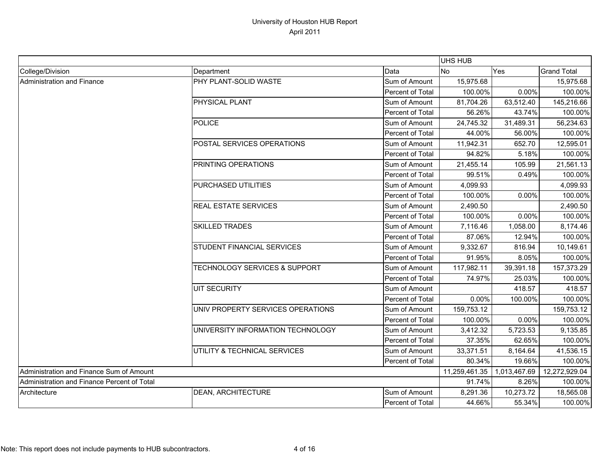|                                             |                                          |                              | UHS HUB    |               |                    |
|---------------------------------------------|------------------------------------------|------------------------------|------------|---------------|--------------------|
| College/Division                            | Department                               | Data                         | <b>No</b>  | Yes           | <b>Grand Total</b> |
| <b>Administration and Finance</b>           | PHY PLANT-SOLID WASTE                    | Sum of Amount                | 15,975.68  |               | 15,975.68          |
|                                             |                                          | Percent of Total             | 100.00%    | 0.00%         | 100.00%            |
|                                             | PHYSICAL PLANT                           | Sum of Amount                | 81,704.26  | 63,512.40     | 145,216.66         |
|                                             |                                          | Percent of Total             | 56.26%     | 43.74%        | 100.00%            |
|                                             | <b>POLICE</b>                            | Sum of Amount                | 24,745.32  | 31,489.31     | 56,234.63          |
|                                             |                                          | <b>Percent of Total</b>      | 44.00%     | 56.00%        | 100.00%            |
|                                             | POSTAL SERVICES OPERATIONS               | Sum of Amount                | 11,942.31  | 652.70        | 12,595.01          |
|                                             |                                          | Percent of Total             | 94.82%     | 5.18%         | 100.00%            |
|                                             | PRINTING OPERATIONS                      | Sum of Amount                | 21,455.14  | 105.99        | 21,561.13          |
|                                             |                                          | Percent of Total             | 99.51%     | 0.49%         | 100.00%            |
|                                             | PURCHASED UTILITIES                      | Sum of Amount                | 4,099.93   |               | 4,099.93           |
|                                             |                                          | Percent of Total             | 100.00%    | 0.00%         | 100.00%            |
|                                             | <b>REAL ESTATE SERVICES</b>              | Sum of Amount                | 2,490.50   |               | 2,490.50           |
|                                             |                                          | Percent of Total             | 100.00%    | 0.00%         | 100.00%            |
|                                             | <b>SKILLED TRADES</b>                    | Sum of Amount                | 7,116.46   | 1,058.00      | 8,174.46           |
|                                             |                                          | Percent of Total             | 87.06%     | 12.94%        | 100.00%            |
|                                             | STUDENT FINANCIAL SERVICES               | Sum of Amount                | 9,332.67   | 816.94        | 10,149.61          |
|                                             |                                          | Percent of Total             | 91.95%     | 8.05%         | 100.00%            |
|                                             | <b>TECHNOLOGY SERVICES &amp; SUPPORT</b> | Sum of Amount                | 117,982.11 | 39,391.18     | 157,373.29         |
|                                             |                                          | Percent of Total             | 74.97%     | 25.03%        | 100.00%            |
|                                             | <b>UIT SECURITY</b>                      | Sum of Amount                |            | 418.57        | 418.57             |
|                                             |                                          | Percent of Total             | 0.00%      | 100.00%       | 100.00%            |
|                                             | UNIV PROPERTY SERVICES OPERATIONS        | Sum of Amount                | 159,753.12 |               | 159,753.12         |
|                                             |                                          | Percent of Total             | 100.00%    | 0.00%         | 100.00%            |
|                                             | UNIVERSITY INFORMATION TECHNOLOGY        | Sum of Amount                | 3,412.32   | 5,723.53      | 9,135.85           |
|                                             |                                          | Percent of Total             | 37.35%     | 62.65%        | 100.00%            |
|                                             | UTILITY & TECHNICAL SERVICES             | Sum of Amount                | 33,371.51  | 8,164.64      | 41,536.15          |
|                                             |                                          | <b>Percent of Total</b>      | 80.34%     | 19.66%        | 100.00%            |
| Administration and Finance Sum of Amount    |                                          | 11,259,461.35   1,013,467.69 |            | 12,272,929.04 |                    |
| Administration and Finance Percent of Total |                                          |                              | 91.74%     | 8.26%         | 100.00%            |
| Architecture                                | DEAN, ARCHITECTURE                       | Sum of Amount                | 8,291.36   | 10,273.72     | 18,565.08          |
|                                             |                                          | Percent of Total             | 44.66%     | 55.34%        | 100.00%            |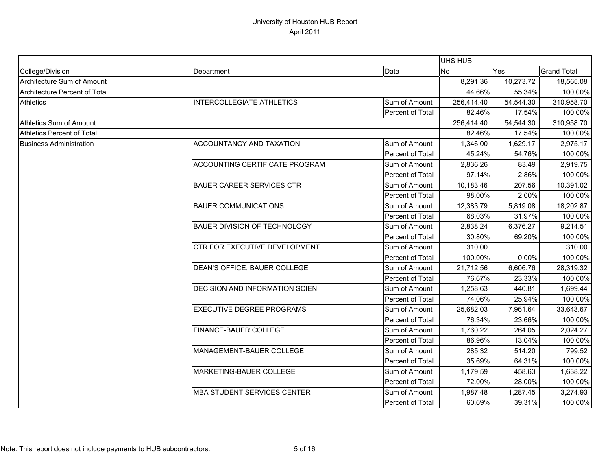|                                |                                     |                  | UHS HUB    |           |                    |
|--------------------------------|-------------------------------------|------------------|------------|-----------|--------------------|
| College/Division               | Department                          | Data             | <b>No</b>  | Yes       | <b>Grand Total</b> |
| Architecture Sum of Amount     |                                     |                  | 8,291.36   | 10,273.72 | 18,565.08          |
| Architecture Percent of Total  |                                     |                  | 44.66%     | 55.34%    | 100.00%            |
| <b>Athletics</b>               | <b>INTERCOLLEGIATE ATHLETICS</b>    | Sum of Amount    | 256,414.40 | 54,544.30 | 310,958.70         |
|                                |                                     | Percent of Total | 82.46%     | 17.54%    | 100.00%            |
| Athletics Sum of Amount        |                                     |                  | 256,414.40 | 54,544.30 | 310,958.70         |
| Athletics Percent of Total     |                                     |                  | 82.46%     | 17.54%    | 100.00%            |
| <b>Business Administration</b> | <b>ACCOUNTANCY AND TAXATION</b>     | Sum of Amount    | 1,346.00   | 1,629.17  | 2,975.17           |
|                                |                                     | Percent of Total | 45.24%     | 54.76%    | 100.00%            |
|                                | ACCOUNTING CERTIFICATE PROGRAM      | Sum of Amount    | 2,836.26   | 83.49     | 2,919.75           |
|                                |                                     | Percent of Total | 97.14%     | 2.86%     | 100.00%            |
|                                | <b>BAUER CAREER SERVICES CTR</b>    | Sum of Amount    | 10,183.46  | 207.56    | 10,391.02          |
|                                |                                     | Percent of Total | 98.00%     | 2.00%     | 100.00%            |
|                                | <b>BAUER COMMUNICATIONS</b>         | Sum of Amount    | 12,383.79  | 5,819.08  | 18,202.87          |
|                                |                                     | Percent of Total | 68.03%     | 31.97%    | 100.00%            |
|                                | <b>BAUER DIVISION OF TECHNOLOGY</b> | Sum of Amount    | 2,838.24   | 6,376.27  | 9,214.51           |
|                                |                                     | Percent of Total | 30.80%     | 69.20%    | 100.00%            |
|                                | CTR FOR EXECUTIVE DEVELOPMENT       | Sum of Amount    | 310.00     |           | 310.00             |
|                                |                                     | Percent of Total | 100.00%    | 0.00%     | 100.00%            |
|                                | DEAN'S OFFICE, BAUER COLLEGE        | Sum of Amount    | 21,712.56  | 6,606.76  | 28,319.32          |
|                                |                                     | Percent of Total | 76.67%     | 23.33%    | 100.00%            |
|                                | DECISION AND INFORMATION SCIEN      | Sum of Amount    | 1,258.63   | 440.81    | 1,699.44           |
|                                |                                     | Percent of Total | 74.06%     | 25.94%    | 100.00%            |
|                                | <b>EXECUTIVE DEGREE PROGRAMS</b>    | Sum of Amount    | 25,682.03  | 7,961.64  | 33,643.67          |
|                                |                                     | Percent of Total | 76.34%     | 23.66%    | 100.00%            |
|                                | FINANCE-BAUER COLLEGE               | Sum of Amount    | 1,760.22   | 264.05    | 2,024.27           |
|                                |                                     | Percent of Total | 86.96%     | 13.04%    | 100.00%            |
|                                | MANAGEMENT-BAUER COLLEGE            | Sum of Amount    | 285.32     | 514.20    | 799.52             |
|                                |                                     | Percent of Total | 35.69%     | 64.31%    | 100.00%            |
|                                | MARKETING-BAUER COLLEGE             | Sum of Amount    | 1,179.59   | 458.63    | 1,638.22           |
|                                |                                     | Percent of Total | 72.00%     | 28.00%    | 100.00%            |
|                                | MBA STUDENT SERVICES CENTER         | Sum of Amount    | 1,987.48   | 1,287.45  | 3,274.93           |
|                                |                                     | Percent of Total | 60.69%     | 39.31%    | 100.00%            |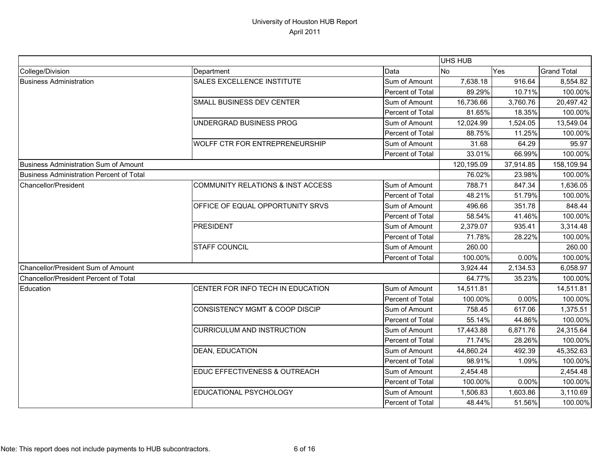|                                          |                                           |                  | <b>UHS HUB</b> |           |                    |
|------------------------------------------|-------------------------------------------|------------------|----------------|-----------|--------------------|
| College/Division                         | Department                                | Data             | <b>No</b>      | Yes       | <b>Grand Total</b> |
| <b>Business Administration</b>           | SALES EXCELLENCE INSTITUTE                | Sum of Amount    | 7,638.18       | 916.64    | 8,554.82           |
|                                          |                                           | Percent of Total | 89.29%         | 10.71%    | 100.00%            |
|                                          | SMALL BUSINESS DEV CENTER                 | Sum of Amount    | 16,736.66      | 3,760.76  | 20,497.42          |
|                                          |                                           | Percent of Total | 81.65%         | 18.35%    | 100.00%            |
|                                          | UNDERGRAD BUSINESS PROG                   | Sum of Amount    | 12,024.99      | 1,524.05  | 13,549.04          |
|                                          |                                           | Percent of Total | 88.75%         | 11.25%    | 100.00%            |
|                                          | WOLFF CTR FOR ENTREPRENEURSHIP            | Sum of Amount    | 31.68          | 64.29     | 95.97              |
|                                          |                                           | Percent of Total | 33.01%         | 66.99%    | 100.00%            |
| Business Administration Sum of Amount    |                                           |                  | 120,195.09     | 37,914.85 | 158,109.94         |
| Business Administration Percent of Total |                                           |                  | 76.02%         | 23.98%    | 100.00%            |
| Chancellor/President                     | COMMUNITY RELATIONS & INST ACCESS         | Sum of Amount    | 788.71         | 847.34    | 1,636.05           |
|                                          |                                           | Percent of Total | 48.21%         | 51.79%    | 100.00%            |
|                                          | OFFICE OF EQUAL OPPORTUNITY SRVS          | Sum of Amount    | 496.66         | 351.78    | 848.44             |
|                                          |                                           | Percent of Total | 58.54%         | 41.46%    | 100.00%            |
|                                          | <b>PRESIDENT</b>                          | Sum of Amount    | 2,379.07       | 935.41    | 3,314.48           |
|                                          |                                           | Percent of Total | 71.78%         | 28.22%    | 100.00%            |
|                                          | <b>STAFF COUNCIL</b>                      | Sum of Amount    | 260.00         |           | 260.00             |
|                                          |                                           | Percent of Total | 100.00%        | 0.00%     | 100.00%            |
| Chancellor/President Sum of Amount       |                                           |                  | 3,924.44       | 2,134.53  | 6,058.97           |
| Chancellor/President Percent of Total    |                                           |                  | 64.77%         | 35.23%    | 100.00%            |
| Education                                | CENTER FOR INFO TECH IN EDUCATION         | Sum of Amount    | 14,511.81      |           | 14,511.81          |
|                                          |                                           | Percent of Total | 100.00%        | 0.00%     | 100.00%            |
|                                          | <b>CONSISTENCY MGMT &amp; COOP DISCIP</b> | Sum of Amount    | 758.45         | 617.06    | 1,375.51           |
|                                          |                                           | Percent of Total | 55.14%         | 44.86%    | 100.00%            |
|                                          | CURRICULUM AND INSTRUCTION                | Sum of Amount    | 17,443.88      | 6,871.76  | 24,315.64          |
|                                          |                                           | Percent of Total | 71.74%         | 28.26%    | 100.00%            |
|                                          | DEAN, EDUCATION                           | Sum of Amount    | 44,860.24      | 492.39    | 45,352.63          |
|                                          |                                           | Percent of Total | 98.91%         | 1.09%     | 100.00%            |
|                                          | EDUC EFFECTIVENESS & OUTREACH             | Sum of Amount    | 2,454.48       |           | 2,454.48           |
|                                          |                                           | Percent of Total | 100.00%        | 0.00%     | 100.00%            |
|                                          | EDUCATIONAL PSYCHOLOGY                    | Sum of Amount    | 1,506.83       | 1,603.86  | 3,110.69           |
|                                          |                                           | Percent of Total | 48.44%         | 51.56%    | 100.00%            |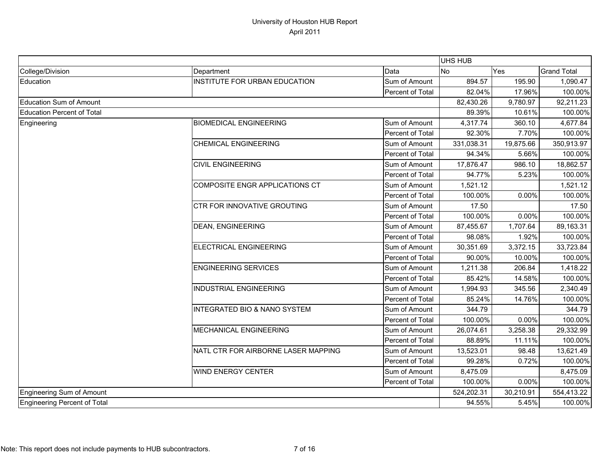|                                   |                                         |                         | UHS HUB    |           |                    |  |
|-----------------------------------|-----------------------------------------|-------------------------|------------|-----------|--------------------|--|
| College/Division                  | Department                              | Data                    | <b>No</b>  | Yes       | <b>Grand Total</b> |  |
| Education                         | INSTITUTE FOR URBAN EDUCATION           | Sum of Amount           | 894.57     | 195.90    | 1,090.47           |  |
|                                   |                                         | <b>Percent of Total</b> | 82.04%     | 17.96%    | 100.00%            |  |
| Education Sum of Amount           |                                         |                         | 82,430.26  | 9,780.97  | 92,211.23          |  |
| <b>Education Percent of Total</b> |                                         |                         | 89.39%     | 10.61%    | 100.00%            |  |
| Engineering                       | <b>BIOMEDICAL ENGINEERING</b>           | Sum of Amount           | 4,317.74   | 360.10    | 4,677.84           |  |
|                                   |                                         | Percent of Total        | 92.30%     | 7.70%     | 100.00%            |  |
|                                   | <b>CHEMICAL ENGINEERING</b>             | Sum of Amount           | 331,038.31 | 19,875.66 | 350,913.97         |  |
|                                   |                                         | Percent of Total        | 94.34%     | 5.66%     | 100.00%            |  |
|                                   | <b>CIVIL ENGINEERING</b>                | Sum of Amount           | 17,876.47  | 986.10    | 18,862.57          |  |
|                                   |                                         | Percent of Total        | 94.77%     | 5.23%     | 100.00%            |  |
|                                   | COMPOSITE ENGR APPLICATIONS CT          | Sum of Amount           | 1,521.12   |           | 1,521.12           |  |
|                                   |                                         | Percent of Total        | 100.00%    | 0.00%     | 100.00%            |  |
|                                   | CTR FOR INNOVATIVE GROUTING             | Sum of Amount           | 17.50      |           | 17.50              |  |
|                                   |                                         | Percent of Total        | 100.00%    | 0.00%     | 100.00%            |  |
|                                   | <b>DEAN, ENGINEERING</b>                | Sum of Amount           | 87,455.67  | 1,707.64  | 89,163.31          |  |
|                                   |                                         | Percent of Total        | 98.08%     | 1.92%     | 100.00%            |  |
|                                   | ELECTRICAL ENGINEERING                  | Sum of Amount           | 30,351.69  | 3,372.15  | 33,723.84          |  |
|                                   |                                         | Percent of Total        | 90.00%     | 10.00%    | 100.00%            |  |
|                                   | <b>ENGINEERING SERVICES</b>             | Sum of Amount           | 1,211.38   | 206.84    | 1,418.22           |  |
|                                   |                                         | Percent of Total        | 85.42%     | 14.58%    | 100.00%            |  |
|                                   | <b>INDUSTRIAL ENGINEERING</b>           | Sum of Amount           | 1,994.93   | 345.56    | 2,340.49           |  |
|                                   |                                         | Percent of Total        | 85.24%     | 14.76%    | 100.00%            |  |
|                                   | <b>INTEGRATED BIO &amp; NANO SYSTEM</b> | Sum of Amount           | 344.79     |           | 344.79             |  |
|                                   |                                         | Percent of Total        | 100.00%    | 0.00%     | 100.00%            |  |
|                                   | MECHANICAL ENGINEERING                  | Sum of Amount           | 26,074.61  | 3,258.38  | 29,332.99          |  |
|                                   |                                         | Percent of Total        | 88.89%     | 11.11%    | 100.00%            |  |
|                                   | NATL CTR FOR AIRBORNE LASER MAPPING     | Sum of Amount           | 13,523.01  | 98.48     | 13,621.49          |  |
|                                   |                                         | Percent of Total        | 99.28%     | 0.72%     | 100.00%            |  |
|                                   | <b>WIND ENERGY CENTER</b>               | Sum of Amount           | 8,475.09   |           | 8,475.09           |  |
|                                   |                                         | Percent of Total        | 100.00%    | 0.00%     | 100.00%            |  |
| Engineering Sum of Amount         |                                         |                         | 524,202.31 | 30,210.91 | 554,413.22         |  |
| Engineering Percent of Total      |                                         |                         | 94.55%     | 5.45%     | 100.00%            |  |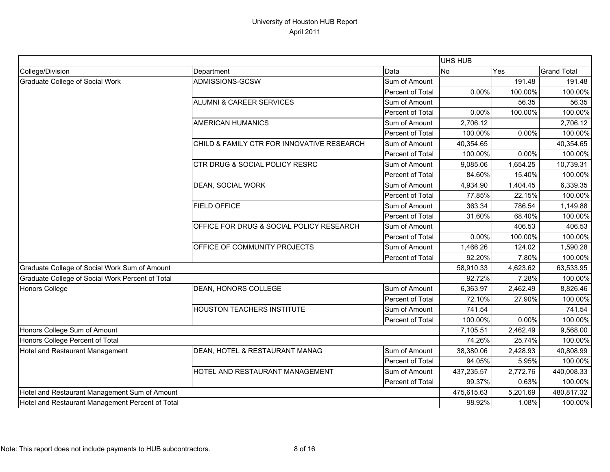|                                                  |                                            |                  | <b>UHS HUB</b> |          |                    |
|--------------------------------------------------|--------------------------------------------|------------------|----------------|----------|--------------------|
| College/Division                                 | Department                                 | Data             | <b>No</b>      | Yes      | <b>Grand Total</b> |
| Graduate College of Social Work                  | ADMISSIONS-GCSW                            | Sum of Amount    |                | 191.48   | 191.48             |
|                                                  |                                            | Percent of Total | 0.00%          | 100.00%  | 100.00%            |
|                                                  | <b>ALUMNI &amp; CAREER SERVICES</b>        | Sum of Amount    |                | 56.35    | 56.35              |
|                                                  |                                            | Percent of Total | 0.00%          | 100.00%  | 100.00%            |
|                                                  | <b>AMERICAN HUMANICS</b>                   | Sum of Amount    | 2,706.12       |          | 2,706.12           |
|                                                  |                                            | Percent of Total | 100.00%        | 0.00%    | 100.00%            |
|                                                  | CHILD & FAMILY CTR FOR INNOVATIVE RESEARCH | Sum of Amount    | 40,354.65      |          | 40,354.65          |
|                                                  |                                            | Percent of Total | 100.00%        | 0.00%    | 100.00%            |
|                                                  | CTR DRUG & SOCIAL POLICY RESRC             | Sum of Amount    | 9,085.06       | 1,654.25 | 10,739.31          |
|                                                  |                                            | Percent of Total | 84.60%         | 15.40%   | 100.00%            |
|                                                  | <b>DEAN, SOCIAL WORK</b>                   | Sum of Amount    | 4,934.90       | 1,404.45 | 6,339.35           |
|                                                  |                                            | Percent of Total | 77.85%         | 22.15%   | 100.00%            |
|                                                  | <b>FIELD OFFICE</b>                        | Sum of Amount    | 363.34         | 786.54   | 1,149.88           |
|                                                  |                                            | Percent of Total | 31.60%         | 68.40%   | 100.00%            |
|                                                  | OFFICE FOR DRUG & SOCIAL POLICY RESEARCH   | Sum of Amount    |                | 406.53   | 406.53             |
|                                                  |                                            | Percent of Total | 0.00%          | 100.00%  | 100.00%            |
|                                                  | OFFICE OF COMMUNITY PROJECTS               | Sum of Amount    | 1,466.26       | 124.02   | 1,590.28           |
|                                                  |                                            | Percent of Total | 92.20%         | 7.80%    | 100.00%            |
| Graduate College of Social Work Sum of Amount    |                                            |                  | 58,910.33      | 4,623.62 | 63,533.95          |
| Graduate College of Social Work Percent of Total |                                            |                  | 92.72%         | 7.28%    | 100.00%            |
| <b>Honors College</b>                            | DEAN, HONORS COLLEGE                       | Sum of Amount    | 6,363.97       | 2,462.49 | 8,826.46           |
|                                                  |                                            | Percent of Total | 72.10%         | 27.90%   | 100.00%            |
|                                                  | HOUSTON TEACHERS INSTITUTE                 | Sum of Amount    | 741.54         |          | 741.54             |
|                                                  |                                            | Percent of Total | 100.00%        | 0.00%    | 100.00%            |
| Honors College Sum of Amount                     |                                            |                  | 7,105.51       | 2,462.49 | 9,568.00           |
| Honors College Percent of Total                  |                                            |                  | 74.26%         | 25.74%   | 100.00%            |
| Hotel and Restaurant Management                  | DEAN, HOTEL & RESTAURANT MANAG             | Sum of Amount    | 38,380.06      | 2,428.93 | 40,808.99          |
|                                                  |                                            | Percent of Total | 94.05%         | 5.95%    | 100.00%            |
|                                                  | HOTEL AND RESTAURANT MANAGEMENT            | Sum of Amount    | 437,235.57     | 2,772.76 | 440,008.33         |
|                                                  |                                            | Percent of Total | 99.37%         | 0.63%    | 100.00%            |
| Hotel and Restaurant Management Sum of Amount    |                                            |                  | 475,615.63     | 5,201.69 | 480,817.32         |
| Hotel and Restaurant Management Percent of Total |                                            | 98.92%           | 1.08%          | 100.00%  |                    |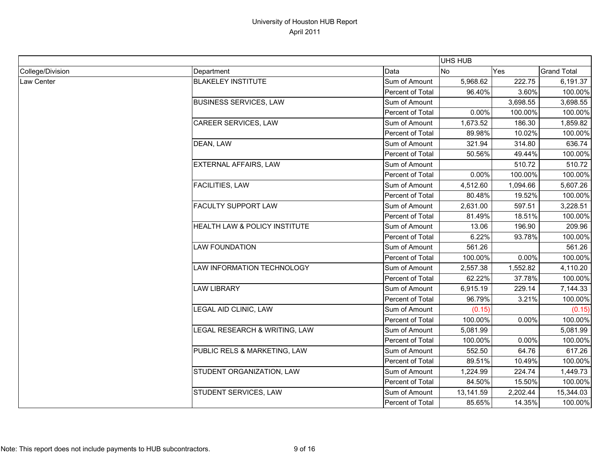|                  |                               |                  | UHS HUB   |          |                    |
|------------------|-------------------------------|------------------|-----------|----------|--------------------|
| College/Division | Department                    | Data             | No        | Yes      | <b>Grand Total</b> |
| Law Center       | <b>BLAKELEY INSTITUTE</b>     | Sum of Amount    | 5,968.62  | 222.75   | 6,191.37           |
|                  |                               | Percent of Total | 96.40%    | 3.60%    | 100.00%            |
|                  | <b>BUSINESS SERVICES, LAW</b> | Sum of Amount    |           | 3,698.55 | 3,698.55           |
|                  |                               | Percent of Total | 0.00%     | 100.00%  | 100.00%            |
|                  | CAREER SERVICES, LAW          | Sum of Amount    | 1,673.52  | 186.30   | 1,859.82           |
|                  |                               | Percent of Total | 89.98%    | 10.02%   | 100.00%            |
|                  | DEAN, LAW                     | Sum of Amount    | 321.94    | 314.80   | 636.74             |
|                  |                               | Percent of Total | 50.56%    | 49.44%   | 100.00%            |
|                  | EXTERNAL AFFAIRS, LAW         | Sum of Amount    |           | 510.72   | 510.72             |
|                  |                               | Percent of Total | 0.00%     | 100.00%  | 100.00%            |
|                  | FACILITIES, LAW               | Sum of Amount    | 4,512.60  | 1,094.66 | 5,607.26           |
|                  |                               | Percent of Total | 80.48%    | 19.52%   | 100.00%            |
|                  | <b>FACULTY SUPPORT LAW</b>    | Sum of Amount    | 2,631.00  | 597.51   | 3,228.51           |
|                  |                               | Percent of Total | 81.49%    | 18.51%   | 100.00%            |
|                  | HEALTH LAW & POLICY INSTITUTE | Sum of Amount    | 13.06     | 196.90   | 209.96             |
|                  |                               | Percent of Total | 6.22%     | 93.78%   | 100.00%            |
|                  | <b>LAW FOUNDATION</b>         | Sum of Amount    | 561.26    |          | 561.26             |
|                  |                               | Percent of Total | 100.00%   | 0.00%    | 100.00%            |
|                  | LAW INFORMATION TECHNOLOGY    | Sum of Amount    | 2,557.38  | 1,552.82 | 4,110.20           |
|                  |                               | Percent of Total | 62.22%    | 37.78%   | 100.00%            |
|                  | <b>LAW LIBRARY</b>            | Sum of Amount    | 6,915.19  | 229.14   | 7,144.33           |
|                  |                               | Percent of Total | 96.79%    | 3.21%    | 100.00%            |
|                  | LEGAL AID CLINIC, LAW         | Sum of Amount    | (0.15)    |          | (0.15)             |
|                  |                               | Percent of Total | 100.00%   | 0.00%    | 100.00%            |
|                  | LEGAL RESEARCH & WRITING, LAW | Sum of Amount    | 5,081.99  |          | 5,081.99           |
|                  |                               | Percent of Total | 100.00%   | 0.00%    | 100.00%            |
|                  | PUBLIC RELS & MARKETING, LAW  | Sum of Amount    | 552.50    | 64.76    | 617.26             |
|                  |                               | Percent of Total | 89.51%    | 10.49%   | 100.00%            |
|                  | STUDENT ORGANIZATION, LAW     | Sum of Amount    | 1,224.99  | 224.74   | 1,449.73           |
|                  |                               | Percent of Total | 84.50%    | 15.50%   | 100.00%            |
|                  | STUDENT SERVICES, LAW         | Sum of Amount    | 13,141.59 | 2,202.44 | 15,344.03          |
|                  |                               | Percent of Total | 85.65%    | 14.35%   | 100.00%            |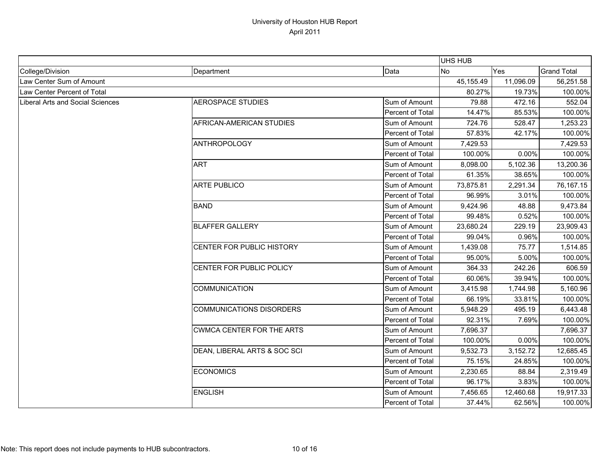|                                         |                                  |                  | <b>UHS HUB</b> |           |                    |
|-----------------------------------------|----------------------------------|------------------|----------------|-----------|--------------------|
| College/Division                        | Department                       | Data             | <b>No</b>      | Yes       | <b>Grand Total</b> |
| Law Center Sum of Amount                |                                  |                  | 45,155.49      | 11,096.09 | 56,251.58          |
| Law Center Percent of Total             |                                  |                  | 80.27%         | 19.73%    | 100.00%            |
| <b>Liberal Arts and Social Sciences</b> | <b>AEROSPACE STUDIES</b>         | Sum of Amount    | 79.88          | 472.16    | 552.04             |
|                                         |                                  | Percent of Total | 14.47%         | 85.53%    | 100.00%            |
|                                         | AFRICAN-AMERICAN STUDIES         | Sum of Amount    | 724.76         | 528.47    | 1,253.23           |
|                                         |                                  | Percent of Total | 57.83%         | 42.17%    | 100.00%            |
|                                         | <b>ANTHROPOLOGY</b>              | Sum of Amount    | 7,429.53       |           | 7,429.53           |
|                                         |                                  | Percent of Total | 100.00%        | 0.00%     | 100.00%            |
|                                         | <b>ART</b>                       | Sum of Amount    | 8,098.00       | 5,102.36  | 13,200.36          |
|                                         |                                  | Percent of Total | 61.35%         | 38.65%    | 100.00%            |
|                                         | <b>ARTE PUBLICO</b>              | Sum of Amount    | 73,875.81      | 2,291.34  | 76,167.15          |
|                                         |                                  | Percent of Total | 96.99%         | 3.01%     | 100.00%            |
|                                         | <b>BAND</b>                      | Sum of Amount    | 9,424.96       | 48.88     | 9,473.84           |
|                                         |                                  | Percent of Total | 99.48%         | 0.52%     | 100.00%            |
|                                         | <b>BLAFFER GALLERY</b>           | Sum of Amount    | 23,680.24      | 229.19    | 23,909.43          |
|                                         |                                  | Percent of Total | 99.04%         | 0.96%     | 100.00%            |
|                                         | <b>CENTER FOR PUBLIC HISTORY</b> | Sum of Amount    | 1,439.08       | 75.77     | 1,514.85           |
|                                         |                                  | Percent of Total | 95.00%         | 5.00%     | 100.00%            |
|                                         | CENTER FOR PUBLIC POLICY         | Sum of Amount    | 364.33         | 242.26    | 606.59             |
|                                         |                                  | Percent of Total | 60.06%         | 39.94%    | 100.00%            |
|                                         | <b>COMMUNICATION</b>             | Sum of Amount    | 3,415.98       | 1,744.98  | 5,160.96           |
|                                         |                                  | Percent of Total | 66.19%         | 33.81%    | 100.00%            |
|                                         | <b>COMMUNICATIONS DISORDERS</b>  | Sum of Amount    | 5,948.29       | 495.19    | 6,443.48           |
|                                         |                                  | Percent of Total | 92.31%         | 7.69%     | 100.00%            |
|                                         | <b>CWMCA CENTER FOR THE ARTS</b> | Sum of Amount    | 7,696.37       |           | 7,696.37           |
|                                         |                                  | Percent of Total | 100.00%        | 0.00%     | 100.00%            |
|                                         | DEAN, LIBERAL ARTS & SOC SCI     | Sum of Amount    | 9,532.73       | 3,152.72  | 12,685.45          |
|                                         |                                  | Percent of Total | 75.15%         | 24.85%    | 100.00%            |
|                                         | <b>ECONOMICS</b>                 | Sum of Amount    | 2,230.65       | 88.84     | 2,319.49           |
|                                         |                                  | Percent of Total | 96.17%         | 3.83%     | 100.00%            |
|                                         | <b>ENGLISH</b>                   | Sum of Amount    | 7,456.65       | 12,460.68 | 19,917.33          |
|                                         |                                  | Percent of Total | 37.44%         | 62.56%    | 100.00%            |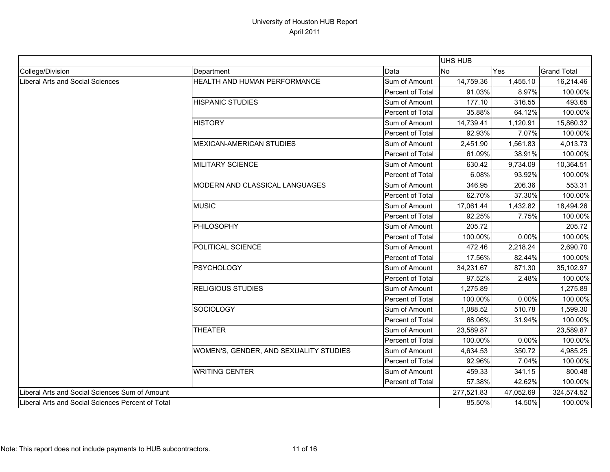|                                                   |                                        |                  | <b>UHS HUB</b> |           |                    |
|---------------------------------------------------|----------------------------------------|------------------|----------------|-----------|--------------------|
| College/Division                                  | Department                             | Data             | No             | Yes       | <b>Grand Total</b> |
| Liberal Arts and Social Sciences                  | <b>HEALTH AND HUMAN PERFORMANCE</b>    | Sum of Amount    | 14,759.36      | 1,455.10  | 16,214.46          |
|                                                   |                                        | Percent of Total | 91.03%         | 8.97%     | 100.00%            |
|                                                   | <b>HISPANIC STUDIES</b>                | Sum of Amount    | 177.10         | 316.55    | 493.65             |
|                                                   |                                        | Percent of Total | 35.88%         | 64.12%    | 100.00%            |
|                                                   | <b>HISTORY</b>                         | Sum of Amount    | 14,739.41      | 1,120.91  | 15,860.32          |
|                                                   |                                        | Percent of Total | 92.93%         | 7.07%     | 100.00%            |
|                                                   | <b>MEXICAN-AMERICAN STUDIES</b>        | Sum of Amount    | 2,451.90       | 1,561.83  | 4,013.73           |
|                                                   |                                        | Percent of Total | 61.09%         | 38.91%    | 100.00%            |
|                                                   | MILITARY SCIENCE                       | Sum of Amount    | 630.42         | 9,734.09  | 10,364.51          |
|                                                   |                                        | Percent of Total | 6.08%          | 93.92%    | 100.00%            |
|                                                   | MODERN AND CLASSICAL LANGUAGES         | Sum of Amount    | 346.95         | 206.36    | 553.31             |
|                                                   |                                        | Percent of Total | 62.70%         | 37.30%    | 100.00%            |
|                                                   | <b>MUSIC</b>                           | Sum of Amount    | 17,061.44      | 1,432.82  | 18,494.26          |
|                                                   |                                        | Percent of Total | 92.25%         | 7.75%     | 100.00%            |
|                                                   | <b>PHILOSOPHY</b>                      | Sum of Amount    | 205.72         |           | 205.72             |
|                                                   |                                        | Percent of Total | 100.00%        | 0.00%     | 100.00%            |
|                                                   | POLITICAL SCIENCE                      | Sum of Amount    | 472.46         | 2,218.24  | 2,690.70           |
|                                                   |                                        | Percent of Total | 17.56%         | 82.44%    | 100.00%            |
|                                                   | <b>PSYCHOLOGY</b>                      | Sum of Amount    | 34,231.67      | 871.30    | 35,102.97          |
|                                                   |                                        | Percent of Total | 97.52%         | 2.48%     | 100.00%            |
|                                                   | <b>RELIGIOUS STUDIES</b>               | Sum of Amount    | 1,275.89       |           | 1,275.89           |
|                                                   |                                        | Percent of Total | 100.00%        | 0.00%     | 100.00%            |
|                                                   | SOCIOLOGY                              | Sum of Amount    | 1,088.52       | 510.78    | 1,599.30           |
|                                                   |                                        | Percent of Total | 68.06%         | 31.94%    | 100.00%            |
|                                                   | <b>THEATER</b>                         | Sum of Amount    | 23,589.87      |           | 23,589.87          |
|                                                   |                                        | Percent of Total | 100.00%        | 0.00%     | 100.00%            |
|                                                   | WOMEN'S, GENDER, AND SEXUALITY STUDIES | Sum of Amount    | 4,634.53       | 350.72    | 4,985.25           |
|                                                   |                                        | Percent of Total | 92.96%         | 7.04%     | 100.00%            |
|                                                   | <b>WRITING CENTER</b>                  | Sum of Amount    | 459.33         | 341.15    | 800.48             |
|                                                   |                                        | Percent of Total | 57.38%         | 42.62%    | 100.00%            |
| Liberal Arts and Social Sciences Sum of Amount    |                                        |                  | 277,521.83     | 47,052.69 | 324,574.52         |
| Liberal Arts and Social Sciences Percent of Total |                                        |                  | 85.50%         | 14.50%    | 100.00%            |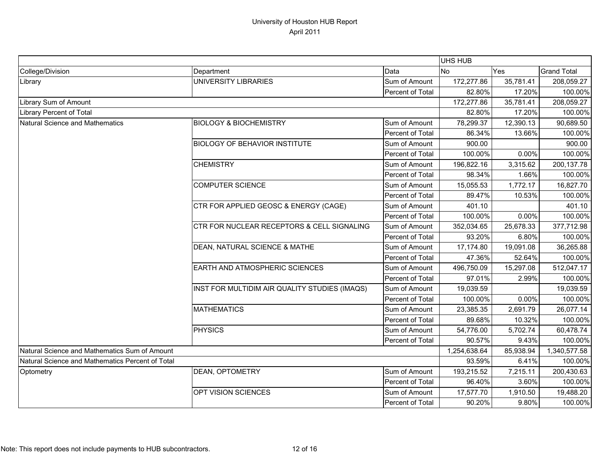|                                                  |                                               |                  | <b>UHS HUB</b> |           |                    |
|--------------------------------------------------|-----------------------------------------------|------------------|----------------|-----------|--------------------|
| College/Division                                 | Department                                    | Data             | <b>No</b>      | Yes       | <b>Grand Total</b> |
| Library                                          | <b>UNIVERSITY LIBRARIES</b>                   | Sum of Amount    | 172,277.86     | 35,781.41 | 208,059.27         |
|                                                  |                                               | Percent of Total | 82.80%         | 17.20%    | 100.00%            |
| Library Sum of Amount                            |                                               |                  | 172,277.86     | 35,781.41 | 208,059.27         |
| Library Percent of Total                         |                                               |                  | 82.80%         | 17.20%    | 100.00%            |
| Natural Science and Mathematics                  | <b>BIOLOGY &amp; BIOCHEMISTRY</b>             | Sum of Amount    | 78,299.37      | 12,390.13 | 90,689.50          |
|                                                  |                                               | Percent of Total | 86.34%         | 13.66%    | 100.00%            |
|                                                  | <b>BIOLOGY OF BEHAVIOR INSTITUTE</b>          | Sum of Amount    | 900.00         |           | 900.00             |
|                                                  |                                               | Percent of Total | 100.00%        | 0.00%     | 100.00%            |
|                                                  | <b>CHEMISTRY</b>                              | Sum of Amount    | 196,822.16     | 3,315.62  | 200,137.78         |
|                                                  |                                               | Percent of Total | 98.34%         | 1.66%     | 100.00%            |
|                                                  | <b>COMPUTER SCIENCE</b>                       | Sum of Amount    | 15,055.53      | 1,772.17  | 16,827.70          |
|                                                  |                                               | Percent of Total | 89.47%         | 10.53%    | 100.00%            |
|                                                  | CTR FOR APPLIED GEOSC & ENERGY (CAGE)         | Sum of Amount    | 401.10         |           | 401.10             |
|                                                  |                                               | Percent of Total | 100.00%        | 0.00%     | 100.00%            |
|                                                  | CTR FOR NUCLEAR RECEPTORS & CELL SIGNALING    | Sum of Amount    | 352,034.65     | 25,678.33 | 377,712.98         |
|                                                  |                                               | Percent of Total | 93.20%         | 6.80%     | 100.00%            |
|                                                  | DEAN, NATURAL SCIENCE & MATHE                 | Sum of Amount    | 17,174.80      | 19,091.08 | 36,265.88          |
|                                                  |                                               | Percent of Total | 47.36%         | 52.64%    | 100.00%            |
|                                                  | EARTH AND ATMOSPHERIC SCIENCES                | Sum of Amount    | 496,750.09     | 15,297.08 | 512,047.17         |
|                                                  |                                               | Percent of Total | 97.01%         | 2.99%     | 100.00%            |
|                                                  | INST FOR MULTIDIM AIR QUALITY STUDIES (IMAQS) | Sum of Amount    | 19,039.59      |           | 19,039.59          |
|                                                  |                                               | Percent of Total | 100.00%        | 0.00%     | 100.00%            |
|                                                  | <b>MATHEMATICS</b>                            | Sum of Amount    | 23,385.35      | 2,691.79  | 26,077.14          |
|                                                  |                                               | Percent of Total | 89.68%         | 10.32%    | 100.00%            |
|                                                  | <b>PHYSICS</b>                                | Sum of Amount    | 54,776.00      | 5,702.74  | 60,478.74          |
|                                                  |                                               | Percent of Total | 90.57%         | 9.43%     | 100.00%            |
| Natural Science and Mathematics Sum of Amount    |                                               |                  | 1,254,638.64   | 85,938.94 | 1,340,577.58       |
| Natural Science and Mathematics Percent of Total |                                               |                  | 93.59%         | 6.41%     | 100.00%            |
| Optometry                                        | DEAN, OPTOMETRY                               | Sum of Amount    | 193,215.52     | 7,215.11  | 200,430.63         |
|                                                  |                                               | Percent of Total | 96.40%         | 3.60%     | 100.00%            |
|                                                  | OPT VISION SCIENCES                           | Sum of Amount    | 17,577.70      | 1,910.50  | 19,488.20          |
|                                                  |                                               | Percent of Total | 90.20%         | 9.80%     | 100.00%            |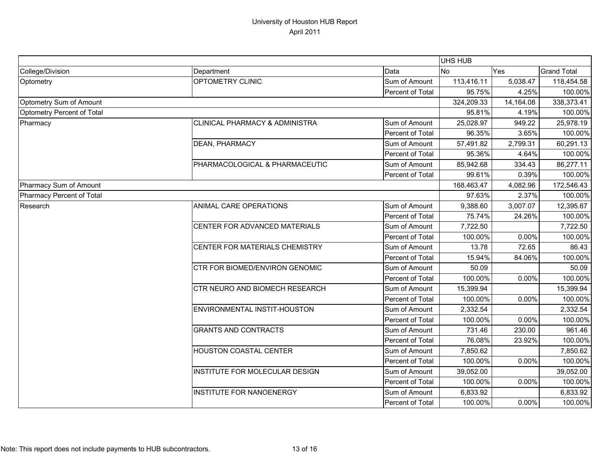|                            |                                |                  | UHS HUB    |           |                    |
|----------------------------|--------------------------------|------------------|------------|-----------|--------------------|
| College/Division           | Department                     | Data             | <b>No</b>  | Yes       | <b>Grand Total</b> |
| Optometry                  | OPTOMETRY CLINIC               | Sum of Amount    | 113,416.11 | 5,038.47  | 118,454.58         |
|                            |                                | Percent of Total | 95.75%     | 4.25%     | 100.00%            |
| Optometry Sum of Amount    |                                |                  | 324,209.33 | 14,164.08 | 338,373.41         |
| Optometry Percent of Total |                                | 95.81%           | 4.19%      | 100.00%   |                    |
| Pharmacy                   | CLINICAL PHARMACY & ADMINISTRA | Sum of Amount    | 25,028.97  | 949.22    | 25,978.19          |
|                            |                                | Percent of Total | 96.35%     | 3.65%     | 100.00%            |
|                            | DEAN, PHARMACY                 | Sum of Amount    | 57,491.82  | 2,799.31  | 60,291.13          |
|                            |                                | Percent of Total | 95.36%     | 4.64%     | 100.00%            |
|                            | PHARMACOLOGICAL & PHARMACEUTIC | Sum of Amount    | 85,942.68  | 334.43    | 86,277.11          |
|                            |                                | Percent of Total | 99.61%     | 0.39%     | 100.00%            |
| Pharmacy Sum of Amount     |                                |                  | 168,463.47 | 4,082.96  | 172,546.43         |
| Pharmacy Percent of Total  |                                |                  | 97.63%     | 2.37%     | 100.00%            |
| Research                   | ANIMAL CARE OPERATIONS         | Sum of Amount    | 9,388.60   | 3,007.07  | 12,395.67          |
|                            |                                | Percent of Total | 75.74%     | 24.26%    | 100.00%            |
|                            | CENTER FOR ADVANCED MATERIALS  | Sum of Amount    | 7,722.50   |           | 7,722.50           |
|                            |                                | Percent of Total | 100.00%    | 0.00%     | 100.00%            |
|                            | CENTER FOR MATERIALS CHEMISTRY | Sum of Amount    | 13.78      | 72.65     | 86.43              |
|                            |                                | Percent of Total | 15.94%     | 84.06%    | 100.00%            |
|                            | CTR FOR BIOMED/ENVIRON GENOMIC | Sum of Amount    | 50.09      |           | 50.09              |
|                            |                                | Percent of Total | 100.00%    | 0.00%     | 100.00%            |
|                            | CTR NEURO AND BIOMECH RESEARCH | Sum of Amount    | 15,399.94  |           | 15,399.94          |
|                            |                                | Percent of Total | 100.00%    | 0.00%     | 100.00%            |
|                            | ENVIRONMENTAL INSTIT-HOUSTON   | Sum of Amount    | 2,332.54   |           | 2,332.54           |
|                            |                                | Percent of Total | 100.00%    | 0.00%     | 100.00%            |
|                            | <b>GRANTS AND CONTRACTS</b>    | Sum of Amount    | 731.46     | 230.00    | 961.46             |
|                            |                                | Percent of Total | 76.08%     | 23.92%    | 100.00%            |
|                            | <b>HOUSTON COASTAL CENTER</b>  | Sum of Amount    | 7,850.62   |           | 7,850.62           |
|                            |                                | Percent of Total | 100.00%    | 0.00%     | 100.00%            |
|                            | INSTITUTE FOR MOLECULAR DESIGN | Sum of Amount    | 39,052.00  |           | 39,052.00          |
|                            |                                | Percent of Total | 100.00%    | 0.00%     | 100.00%            |
|                            | INSTITUTE FOR NANOENERGY       | Sum of Amount    | 6,833.92   |           | 6,833.92           |
|                            |                                | Percent of Total | 100.00%    | 0.00%     | 100.00%            |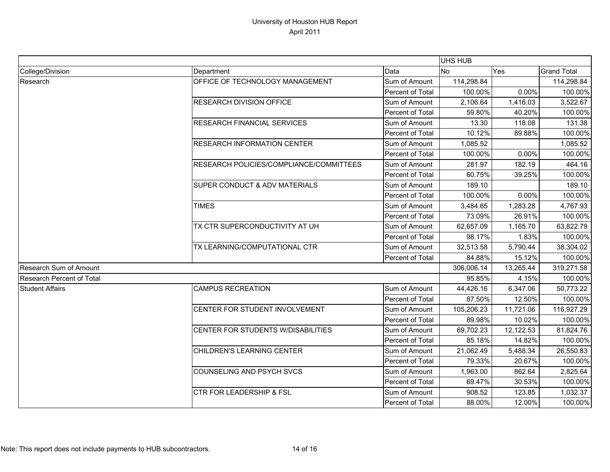|                                  |                                         |                  | UHS HUB    |           |                    |
|----------------------------------|-----------------------------------------|------------------|------------|-----------|--------------------|
| College/Division                 | Department                              | Data             | <b>No</b>  | Yes       | <b>Grand Total</b> |
| Research                         | OFFICE OF TECHNOLOGY MANAGEMENT         | Sum of Amount    | 114,298.84 |           | 114,298.84         |
|                                  |                                         | Percent of Total | 100.00%    | 0.00%     | 100.00%            |
|                                  | <b>RESEARCH DIVISION OFFICE</b>         | Sum of Amount    | 2,106.64   | 1,416.03  | 3,522.67           |
|                                  |                                         | Percent of Total | 59.80%     | 40.20%    | 100.00%            |
|                                  | <b>RESEARCH FINANCIAL SERVICES</b>      | Sum of Amount    | 13.30      | 118.08    | 131.38             |
|                                  |                                         | Percent of Total | 10.12%     | 89.88%    | 100.00%            |
|                                  | <b>RESEARCH INFORMATION CENTER</b>      | Sum of Amount    | 1,085.52   |           | 1,085.52           |
|                                  |                                         | Percent of Total | 100.00%    | 0.00%     | 100.00%            |
|                                  | RESEARCH POLICIES/COMPLIANCE/COMMITTEES | Sum of Amount    | 281.97     | 182.19    | 464.16             |
|                                  |                                         | Percent of Total | 60.75%     | 39.25%    | 100.00%            |
|                                  | SUPER CONDUCT & ADV MATERIALS           | Sum of Amount    | 189.10     |           | 189.10             |
|                                  |                                         | Percent of Total | 100.00%    | 0.00%     | 100.00%            |
|                                  | <b>TIMES</b>                            | Sum of Amount    | 3,484.65   | 1,283.28  | 4,767.93           |
|                                  |                                         | Percent of Total | 73.09%     | 26.91%    | 100.00%            |
|                                  | TX CTR SUPERCONDUCTIVITY AT UH          | Sum of Amount    | 62,657.09  | 1,165.70  | 63,822.79          |
|                                  |                                         | Percent of Total | 98.17%     | 1.83%     | 100.00%            |
|                                  | TX LEARNING/COMPUTATIONAL CTR           | Sum of Amount    | 32,513.58  | 5,790.44  | 38,304.02          |
|                                  |                                         | Percent of Total | 84.88%     | 15.12%    | 100.00%            |
| Research Sum of Amount           |                                         |                  | 306,006.14 | 13,265.44 | 319,271.58         |
| <b>Research Percent of Total</b> |                                         | 95.85%           | 4.15%      | 100.00%   |                    |
| <b>Student Affairs</b>           | <b>CAMPUS RECREATION</b>                | Sum of Amount    | 44,426.16  | 6,347.06  | 50,773.22          |
|                                  |                                         | Percent of Total | 87.50%     | 12.50%    | 100.00%            |
|                                  | CENTER FOR STUDENT INVOLVEMENT          | Sum of Amount    | 105,206.23 | 11,721.06 | 116,927.29         |
|                                  |                                         | Percent of Total | 89.98%     | 10.02%    | 100.00%            |
|                                  | CENTER FOR STUDENTS W/DISABILITIES      | Sum of Amount    | 69,702.23  | 12,122.53 | 81,824.76          |
|                                  |                                         | Percent of Total | 85.18%     | 14.82%    | 100.00%            |
|                                  | CHILDREN'S LEARNING CENTER              | Sum of Amount    | 21,062.49  | 5,488.34  | 26,550.83          |
|                                  |                                         | Percent of Total | 79.33%     | 20.67%    | 100.00%            |
|                                  | COUNSELING AND PSYCH SVCS               | Sum of Amount    | 1,963.00   | 862.64    | 2,825.64           |
|                                  |                                         | Percent of Total | 69.47%     | 30.53%    | 100.00%            |
|                                  | <b>CTR FOR LEADERSHIP &amp; FSL</b>     | Sum of Amount    | 908.52     | 123.85    | 1,032.37           |
|                                  |                                         | Percent of Total | 88.00%     | 12.00%    | 100.00%            |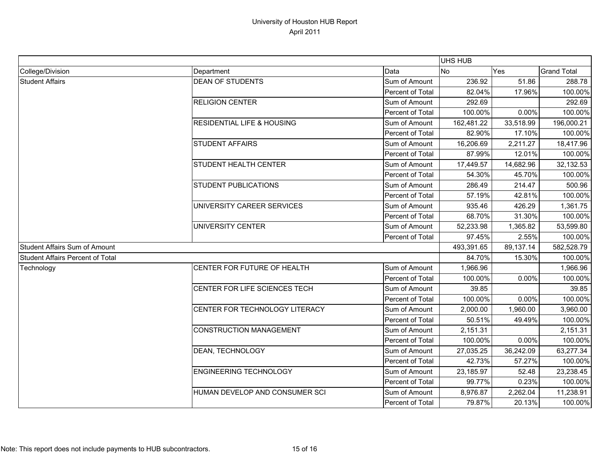|                                         |                                       |                  | UHS HUB    |            |                    |
|-----------------------------------------|---------------------------------------|------------------|------------|------------|--------------------|
| College/Division                        | Department                            | Data             | <b>No</b>  | Yes        | <b>Grand Total</b> |
| <b>Student Affairs</b>                  | <b>DEAN OF STUDENTS</b>               | Sum of Amount    | 236.92     | 51.86      | 288.78             |
|                                         |                                       | Percent of Total | 82.04%     | 17.96%     | 100.00%            |
|                                         | <b>RELIGION CENTER</b>                | Sum of Amount    | 292.69     |            | 292.69             |
|                                         |                                       | Percent of Total | 100.00%    | 0.00%      | 100.00%            |
|                                         | <b>RESIDENTIAL LIFE &amp; HOUSING</b> | Sum of Amount    | 162,481.22 | 33,518.99  | 196,000.21         |
|                                         |                                       | Percent of Total | 82.90%     | 17.10%     | 100.00%            |
|                                         | <b>STUDENT AFFAIRS</b>                | Sum of Amount    | 16,206.69  | 2,211.27   | 18,417.96          |
|                                         |                                       | Percent of Total | 87.99%     | 12.01%     | 100.00%            |
|                                         | STUDENT HEALTH CENTER                 | Sum of Amount    | 17,449.57  | 14,682.96  | 32,132.53          |
|                                         |                                       | Percent of Total | 54.30%     | 45.70%     | 100.00%            |
|                                         | <b>STUDENT PUBLICATIONS</b>           | Sum of Amount    | 286.49     | 214.47     | 500.96             |
|                                         |                                       | Percent of Total | 57.19%     | 42.81%     | 100.00%            |
|                                         | UNIVERSITY CAREER SERVICES            | Sum of Amount    | 935.46     | 426.29     | 1,361.75           |
|                                         |                                       | Percent of Total | 68.70%     | 31.30%     | 100.00%            |
|                                         | UNIVERSITY CENTER                     | Sum of Amount    | 52,233.98  | 1,365.82   | 53,599.80          |
|                                         |                                       | Percent of Total | 97.45%     | 2.55%      | 100.00%            |
| <b>Student Affairs Sum of Amount</b>    |                                       | 493,391.65       | 89,137.14  | 582,528.79 |                    |
| <b>Student Affairs Percent of Total</b> |                                       |                  | 84.70%     | 15.30%     | 100.00%            |
| Technology                              | CENTER FOR FUTURE OF HEALTH           | Sum of Amount    | 1,966.96   |            | 1,966.96           |
|                                         |                                       | Percent of Total | 100.00%    | 0.00%      | 100.00%            |
|                                         | CENTER FOR LIFE SCIENCES TECH         | Sum of Amount    | 39.85      |            | 39.85              |
|                                         |                                       | Percent of Total | 100.00%    | 0.00%      | 100.00%            |
|                                         | CENTER FOR TECHNOLOGY LITERACY        | Sum of Amount    | 2,000.00   | 1,960.00   | 3,960.00           |
|                                         |                                       | Percent of Total | 50.51%     | 49.49%     | 100.00%            |
|                                         | <b>CONSTRUCTION MANAGEMENT</b>        | Sum of Amount    | 2,151.31   |            | 2,151.31           |
|                                         |                                       | Percent of Total | 100.00%    | 0.00%      | 100.00%            |
|                                         | DEAN, TECHNOLOGY                      | Sum of Amount    | 27,035.25  | 36,242.09  | 63,277.34          |
|                                         |                                       | Percent of Total | 42.73%     | 57.27%     | 100.00%            |
|                                         | <b>ENGINEERING TECHNOLOGY</b>         | Sum of Amount    | 23,185.97  | 52.48      | 23,238.45          |
|                                         |                                       | Percent of Total | 99.77%     | 0.23%      | 100.00%            |
|                                         | HUMAN DEVELOP AND CONSUMER SCI        | Sum of Amount    | 8,976.87   | 2,262.04   | 11,238.91          |
|                                         |                                       | Percent of Total | 79.87%     | 20.13%     | 100.00%            |